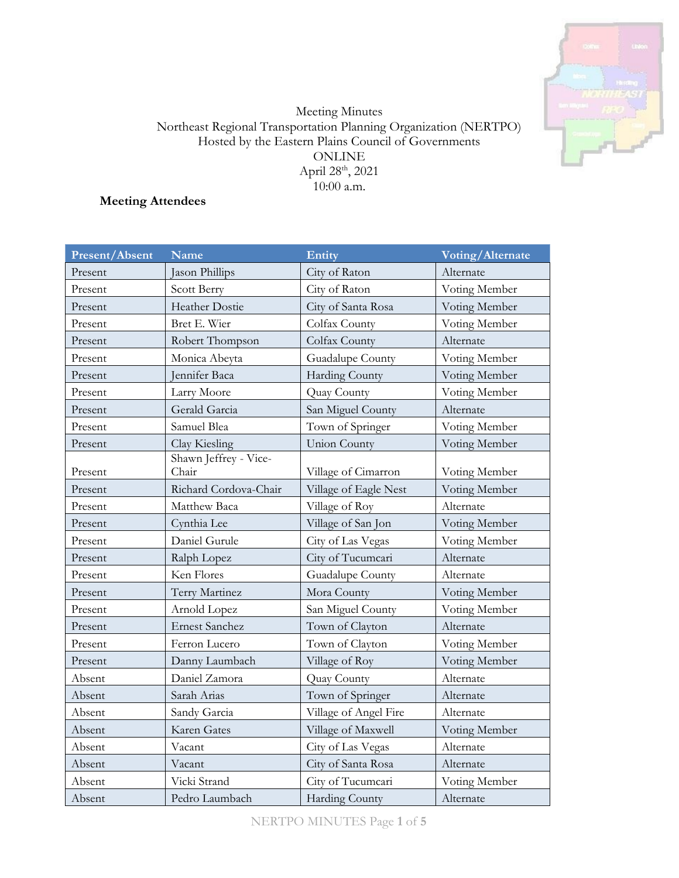

# Meeting Minutes Northeast Regional Transportation Planning Organization (NERTPO) Hosted by the Eastern Plains Council of Governments ONLINE April 28<sup>th</sup>, 2021 10:00 a.m.

**Meeting Attendees**

| Present/Absent | Name                           | Entity                | Voting/Alternate |
|----------------|--------------------------------|-----------------------|------------------|
| Present        | Jason Phillips                 | City of Raton         | Alternate        |
| Present        | Scott Berry                    | City of Raton         | Voting Member    |
| Present        | <b>Heather Dostie</b>          | City of Santa Rosa    | Voting Member    |
| Present        | Bret E. Wier                   | Colfax County         | Voting Member    |
| Present        | Robert Thompson                | Colfax County         | Alternate        |
| Present        | Monica Abeyta                  | Guadalupe County      | Voting Member    |
| Present        | Jennifer Baca                  | Harding County        | Voting Member    |
| Present        | Larry Moore                    | Quay County           | Voting Member    |
| Present        | Gerald Garcia                  | San Miguel County     | Alternate        |
| Present        | Samuel Blea                    | Town of Springer      | Voting Member    |
| Present        | Clay Kiesling                  | Union County          | Voting Member    |
| Present        | Shawn Jeffrey - Vice-<br>Chair | Village of Cimarron   | Voting Member    |
| Present        | Richard Cordova-Chair          | Village of Eagle Nest | Voting Member    |
| Present        | Matthew Baca                   | Village of Roy        | Alternate        |
| Present        | Cynthia Lee                    | Village of San Jon    | Voting Member    |
| Present        | Daniel Gurule                  | City of Las Vegas     | Voting Member    |
| Present        | Ralph Lopez                    | City of Tucumcari     | Alternate        |
| Present        | Ken Flores                     | Guadalupe County      | Alternate        |
| Present        | Terry Martinez                 | Mora County           | Voting Member    |
| Present        | Arnold Lopez                   | San Miguel County     | Voting Member    |
| Present        | <b>Ernest Sanchez</b>          | Town of Clayton       | Alternate        |
| Present        | Ferron Lucero                  | Town of Clayton       | Voting Member    |
| Present        | Danny Laumbach                 | Village of Roy        | Voting Member    |
| Absent         | Daniel Zamora                  | Quay County           | Alternate        |
| Absent         | Sarah Arias                    | Town of Springer      | Alternate        |
| Absent         | Sandy Garcia                   | Village of Angel Fire | Alternate        |
| Absent         | Karen Gates                    | Village of Maxwell    | Voting Member    |
| Absent         | Vacant                         | City of Las Vegas     | Alternate        |
| Absent         | Vacant                         | City of Santa Rosa    | Alternate        |
| Absent         | Vicki Strand                   | City of Tucumcari     | Voting Member    |
| Absent         | Pedro Laumbach                 | Harding County        | Alternate        |

NERTPO MINUTES Page **1** of **5**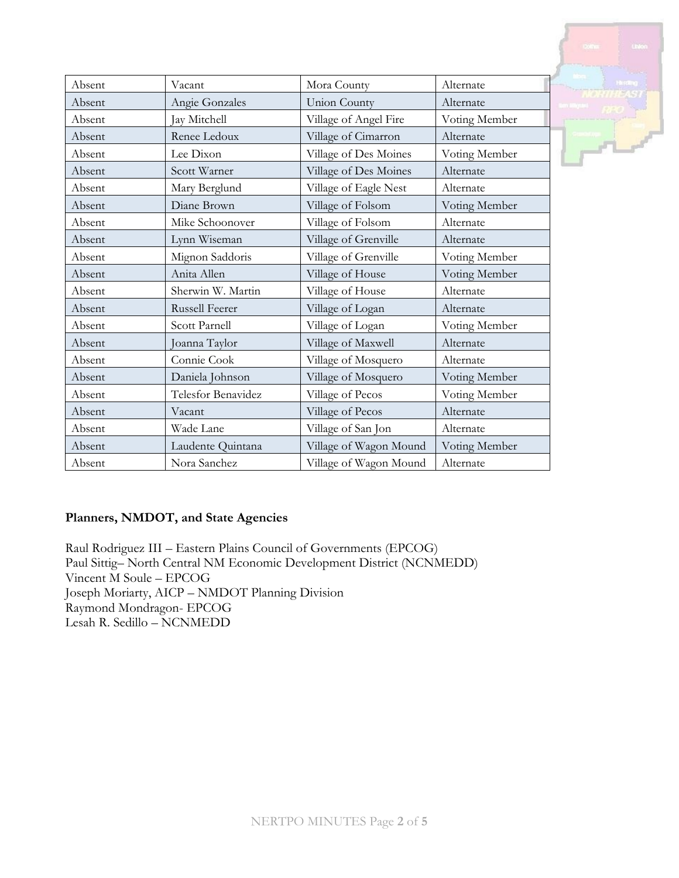|        |                       |                        |               | Linkon |
|--------|-----------------------|------------------------|---------------|--------|
|        |                       |                        |               |        |
| Absent | Vacant                | Mora County            | Alternate     |        |
| Absent | Angie Gonzales        | <b>Union County</b>    | Alternate     |        |
| Absent | Jay Mitchell          | Village of Angel Fire  | Voting Member |        |
| Absent | Renee Ledoux          | Village of Cimarron    | Alternate     |        |
| Absent | Lee Dixon             | Village of Des Moines  | Voting Member |        |
| Absent | Scott Warner          | Village of Des Moines  | Alternate     |        |
| Absent | Mary Berglund         | Village of Eagle Nest  | Alternate     |        |
| Absent | Diane Brown           | Village of Folsom      | Voting Member |        |
| Absent | Mike Schoonover       | Village of Folsom      | Alternate     |        |
| Absent | Lynn Wiseman          | Village of Grenville   | Alternate     |        |
| Absent | Mignon Saddoris       | Village of Grenville   | Voting Member |        |
| Absent | Anita Allen           | Village of House       | Voting Member |        |
| Absent | Sherwin W. Martin     | Village of House       | Alternate     |        |
| Absent | <b>Russell Feerer</b> | Village of Logan       | Alternate     |        |
| Absent | Scott Parnell         | Village of Logan       | Voting Member |        |
| Absent | Joanna Taylor         | Village of Maxwell     | Alternate     |        |
| Absent | Connie Cook           | Village of Mosquero    | Alternate     |        |
| Absent | Daniela Johnson       | Village of Mosquero    | Voting Member |        |
| Absent | Telesfor Benavidez    | Village of Pecos       | Voting Member |        |
| Absent | Vacant                | Village of Pecos       | Alternate     |        |
| Absent | Wade Lane             | Village of San Jon     | Alternate     |        |
| Absent | Laudente Quintana     | Village of Wagon Mound | Voting Member |        |
| Absent | Nora Sanchez          | Village of Wagon Mound | Alternate     |        |

## **Planners, NMDOT, and State Agencies**

Raul Rodriguez III – Eastern Plains Council of Governments (EPCOG) Paul Sittig– North Central NM Economic Development District (NCNMEDD) Vincent M Soule – EPCOG Joseph Moriarty, AICP – NMDOT Planning Division Raymond Mondragon- EPCOG Lesah R. Sedillo – NCNMEDD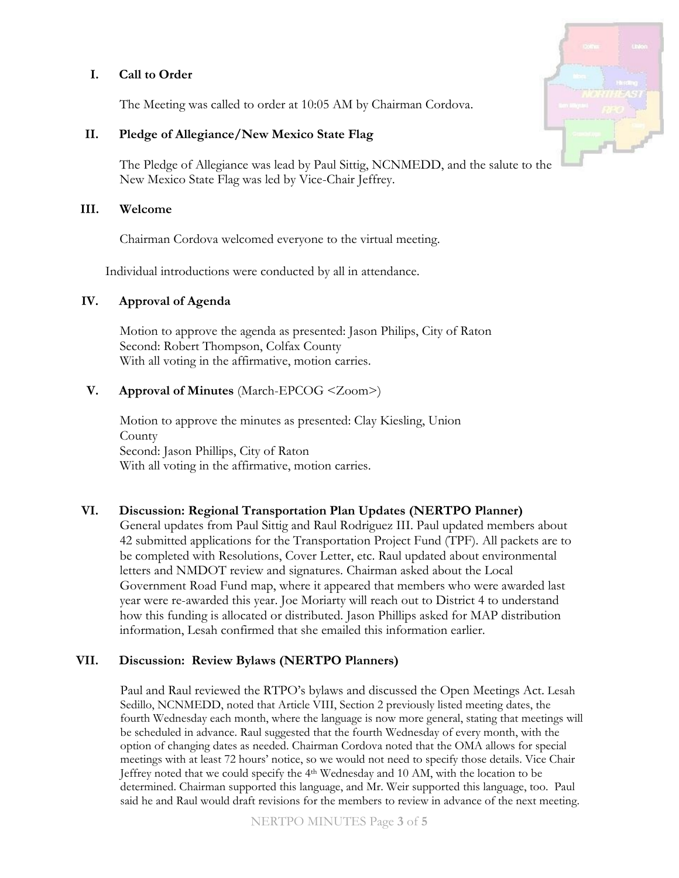# **I. Call to Order**

The Meeting was called to order at 10:05 AM by Chairman Cordova.

# **II. Pledge of Allegiance/New Mexico State Flag**

The Pledge of Allegiance was lead by Paul Sittig, NCNMEDD, and the salute to the New Mexico State Flag was led by Vice-Chair Jeffrey.

## **III. Welcome**

Chairman Cordova welcomed everyone to the virtual meeting.

Individual introductions were conducted by all in attendance.

# **IV. Approval of Agenda**

Motion to approve the agenda as presented: Jason Philips, City of Raton Second: Robert Thompson, Colfax County With all voting in the affirmative, motion carries.

# **V. Approval of Minutes** (March-EPCOG <Zoom>)

Motion to approve the minutes as presented: Clay Kiesling, Union County Second: Jason Phillips, City of Raton With all voting in the affirmative, motion carries.

# **VI. Discussion: Regional Transportation Plan Updates (NERTPO Planner)**

General updates from Paul Sittig and Raul Rodriguez III. Paul updated members about 42 submitted applications for the Transportation Project Fund (TPF). All packets are to be completed with Resolutions, Cover Letter, etc. Raul updated about environmental letters and NMDOT review and signatures. Chairman asked about the Local Government Road Fund map, where it appeared that members who were awarded last year were re-awarded this year. Joe Moriarty will reach out to District 4 to understand how this funding is allocated or distributed. Jason Phillips asked for MAP distribution information, Lesah confirmed that she emailed this information earlier.

# **VII. Discussion: Review Bylaws (NERTPO Planners)**

Paul and Raul reviewed the RTPO's bylaws and discussed the Open Meetings Act. Lesah Sedillo, NCNMEDD, noted that Article VIII, Section 2 previously listed meeting dates, the fourth Wednesday each month, where the language is now more general, stating that meetings will be scheduled in advance. Raul suggested that the fourth Wednesday of every month, with the option of changing dates as needed. Chairman Cordova noted that the OMA allows for special meetings with at least 72 hours' notice, so we would not need to specify those details. Vice Chair Jeffrey noted that we could specify the  $4<sup>th</sup>$  Wednesday and 10 AM, with the location to be determined. Chairman supported this language, and Mr. Weir supported this language, too. Paul said he and Raul would draft revisions for the members to review in advance of the next meeting.

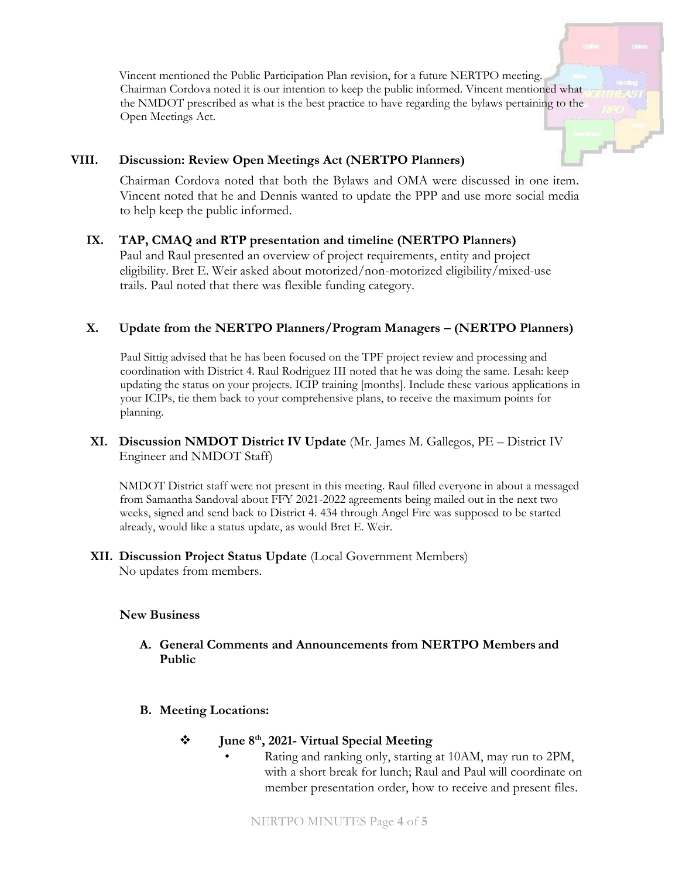Vincent mentioned the Public Participation Plan revision, for a future NERTPO meeting. Chairman Cordova noted it is our intention to keep the public informed. Vincent mentioned what the NMDOT prescribed as what is the best practice to have regarding the bylaws pertaining to the Open Meetings Act.

### **VIII. Discussion: Review Open Meetings Act (NERTPO Planners)**

Chairman Cordova noted that both the Bylaws and OMA were discussed in one item. Vincent noted that he and Dennis wanted to update the PPP and use more social media to help keep the public informed.

#### **IX. TAP, CMAQ and RTP presentation and timeline (NERTPO Planners)**

Paul and Raul presented an overview of project requirements, entity and project eligibility. Bret E. Weir asked about motorized/non-motorized eligibility/mixed-use trails. Paul noted that there was flexible funding category.

## **X. Update from the NERTPO Planners/Program Managers – (NERTPO Planners)**

Paul Sittig advised that he has been focused on the TPF project review and processing and coordination with District 4. Raul Rodriguez III noted that he was doing the same. Lesah: keep updating the status on your projects. ICIP training [months]. Include these various applications in your ICIPs, tie them back to your comprehensive plans, to receive the maximum points for planning.

## **XI. Discussion NMDOT District IV Update** (Mr. James M. Gallegos, PE – District IV Engineer and NMDOT Staff)

NMDOT District staff were not present in this meeting. Raul filled everyone in about a messaged from Samantha Sandoval about FFY 2021-2022 agreements being mailed out in the next two weeks, signed and send back to District 4. 434 through Angel Fire was supposed to be started already, would like a status update, as would Bret E. Weir.

#### **XII. Discussion Project Status Update** (Local Government Members) No updates from members.

#### **New Business**

#### **A. General Comments and Announcements from NERTPO Members and Public**

**B. Meeting Locations:**

#### **June 8th, 2021- Virtual Special Meeting**

• Rating and ranking only, starting at 10AM, may run to 2PM, with a short break for lunch; Raul and Paul will coordinate on member presentation order, how to receive and present files.